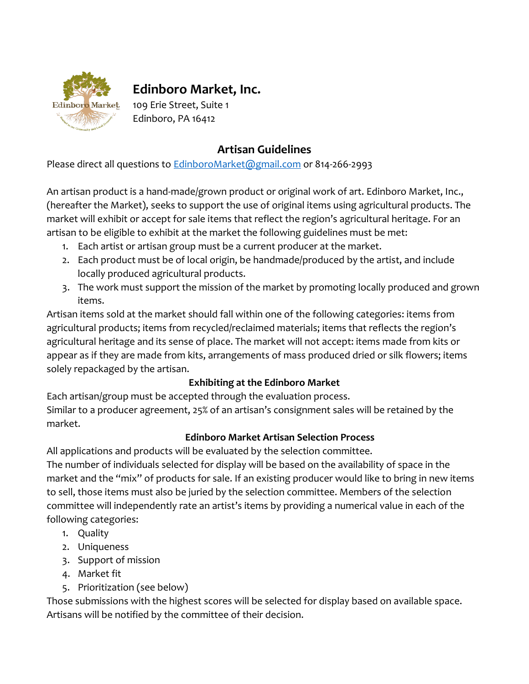

# **Edinboro Market, Inc.**

109 Erie Street, Suite 1 Edinboro, PA 16412

## **Artisan Guidelines**

Please direct all questions to **EdinboroMarket@gmail.com** or 814-266-2993

An artisan product is a hand-made/grown product or original work of art. Edinboro Market, Inc., (hereafter the Market), seeks to support the use of original items using agricultural products. The market will exhibit or accept for sale items that reflect the region's agricultural heritage. For an artisan to be eligible to exhibit at the market the following guidelines must be met:

- 1. Each artist or artisan group must be a current producer at the market.
- 2. Each product must be of local origin, be handmade/produced by the artist, and include locally produced agricultural products.
- 3. The work must support the mission of the market by promoting locally produced and grown items.

Artisan items sold at the market should fall within one of the following categories: items from agricultural products; items from recycled/reclaimed materials; items that reflects the region's agricultural heritage and its sense of place. The market will not accept: items made from kits or appear as if they are made from kits, arrangements of mass produced dried or silk flowers; items solely repackaged by the artisan.

## **Exhibiting at the Edinboro Market**

Each artisan/group must be accepted through the evaluation process. Similar to a producer agreement, 25% of an artisan's consignment sales will be retained by the market.

## **Edinboro Market Artisan Selection Process**

All applications and products will be evaluated by the selection committee.

The number of individuals selected for display will be based on the availability of space in the market and the "mix" of products for sale. If an existing producer would like to bring in new items to sell, those items must also be juried by the selection committee. Members of the selection committee will independently rate an artist's items by providing a numerical value in each of the following categories:

- 1. Quality
- 2. Uniqueness
- 3. Support of mission
- 4. Market fit
- 5. Prioritization (see below)

Those submissions with the highest scores will be selected for display based on available space. Artisans will be notified by the committee of their decision.